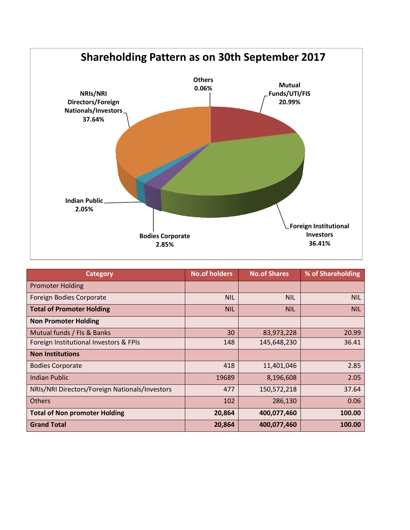

| <b>Category</b>                                | <b>No.of holders</b> | <b>No.of Shares</b> | % of Shareholding |
|------------------------------------------------|----------------------|---------------------|-------------------|
| <b>Promoter Holding</b>                        |                      |                     |                   |
| Foreign Bodies Corporate                       | <b>NIL</b>           | <b>NIL</b>          | <b>NIL</b>        |
| <b>Total of Promoter Holding</b>               | <b>NIL</b>           | <b>NIL</b>          | <b>NIL</b>        |
| <b>Non Promoter Holding</b>                    |                      |                     |                   |
| Mutual funds / FIs & Banks                     | 30                   | 83,973,228          | 20.99             |
| Foreign Institutional Investors & FPIs         | 148                  | 145,648,230         | 36.41             |
| <b>Non Institutions</b>                        |                      |                     |                   |
| <b>Bodies Corporate</b>                        | 418                  | 11,401,046          | 2.85              |
| <b>Indian Public</b>                           | 19689                | 8,196,608           | 2.05              |
| NRIs/NRI Directors/Foreign Nationals/Investors | 477                  | 150,572,218         | 37.64             |
| <b>Others</b>                                  | 102                  | 286,130             | 0.06              |
| <b>Total of Non promoter Holding</b>           | 20,864               | 400,077,460         | 100.00            |
| <b>Grand Total</b>                             | 20,864               | 400,077,460         | 100.00            |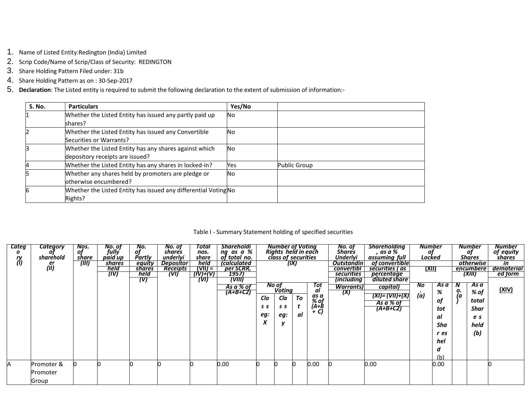- 1. Name of Listed Entity:Redington (India) Limited
- 2. Scrip Code/Name of Scrip/Class of Security: REDINGTON
- 3. Share Holding Pattern Filed under: 31b
- 4. Share Holding Pattern as on : 30-Sep-2017
- 5. **Declaration**: The Listed entity is required to submit the following declaration to the extent of submission of information:-

| <b>S. No.</b> | <b>Particulars</b>                                              | Yes/No    |                     |
|---------------|-----------------------------------------------------------------|-----------|---------------------|
|               | Whether the Listed Entity has issued any partly paid up         | No.       |                     |
|               | shares?                                                         |           |                     |
|               | Whether the Listed Entity has issued any Convertible            | No        |                     |
|               | Securities or Warrants?                                         |           |                     |
|               | Whether the Listed Entity has any shares against which          | <b>No</b> |                     |
|               | depository receipts are issued?                                 |           |                     |
|               | Whether the Listed Entity has any shares in locked-in?          | Yes       | <b>Public Group</b> |
|               | Whether any shares held by promoters are pledge or              | No        |                     |
|               | otherwise encumbered?                                           |           |                     |
|               | Whether the Listed Entity has issued any differential Voting No |           |                     |
|               | Rights?                                                         |           |                     |

## Table I - Summary Statement holding of specified securities

| Categ<br>ry<br>(1) | <b>Category</b><br>ΟT<br>sharehold<br>$\overset{er}{\text{(II)}}$ | Nos.<br>of<br>share<br>(III) | No. of<br>fully<br>paid up<br>shares<br>held<br>(IV) | No.<br>оf<br>Partly<br>equity<br>shares<br>held<br>(V) | No. of<br>shares<br>underlyi<br><b>Depositor</b><br><b>Receipts</b><br>WIJ, | Total<br>nos.<br>share<br>held<br>(VII) =<br>(N)+(V)<br>(VI) | <b>Shareholdi</b><br>ng as a %<br>of tot <u>al no.</u><br><i>(calculated</i><br>per SCRR,<br>1957)<br>(VIII) |                        | <b>Number of Voting</b><br>Rights held in each<br>class of securities<br>(IX) |          |                                        | No. of<br>Shares<br>Underlyi<br><b>Outstandin</b><br>convertibl<br><b>securities</b><br><i>(including</i> | <b>Shareholding</b><br>as a %<br>assuming full<br>of convertible<br>securities ( as<br>percentage<br>diluted share | <b>Number</b><br>οt<br>Locked<br>(XII) |                                                                |               | <b>Number</b><br>of<br>Shares<br><i><b>otherwise</b></i><br>encumbere<br>(XIII) | Number<br>of equity<br>shares<br>in<br>dematerial<br>ed form |
|--------------------|-------------------------------------------------------------------|------------------------------|------------------------------------------------------|--------------------------------------------------------|-----------------------------------------------------------------------------|--------------------------------------------------------------|--------------------------------------------------------------------------------------------------------------|------------------------|-------------------------------------------------------------------------------|----------|----------------------------------------|-----------------------------------------------------------------------------------------------------------|--------------------------------------------------------------------------------------------------------------------|----------------------------------------|----------------------------------------------------------------|---------------|---------------------------------------------------------------------------------|--------------------------------------------------------------|
|                    |                                                                   |                              |                                                      |                                                        |                                                                             |                                                              | As a % of<br>$\overline{(A+B+C2)}$                                                                           | Cla<br>SS.<br>eg:<br>Λ | No of<br>Voting<br>Cla<br>s s<br>eg:                                          | To<br>al | Tot<br>al<br>as a<br>% of<br>$(A+B+C)$ | Warrants)<br>(X)                                                                                          | capital)<br>(XI)= (VII)+(X)<br>As a % of<br>$(A+B+CZ)$                                                             | No<br>(a)                              | As a<br>%<br>of<br>tot<br>αI<br>Sha<br>r es<br>hel<br>d<br>(b) | N<br>o.<br>(a | As a<br>% of<br>total<br><b>Shar</b><br>e s<br>held<br>(b)                      | (XIV)                                                        |
|                    | Promoter &<br>Promoter<br>Group                                   |                              |                                                      |                                                        |                                                                             |                                                              | $0.00\,$                                                                                                     |                        |                                                                               |          | 0.00                                   |                                                                                                           | 0.00                                                                                                               |                                        | 0.00                                                           |               |                                                                                 |                                                              |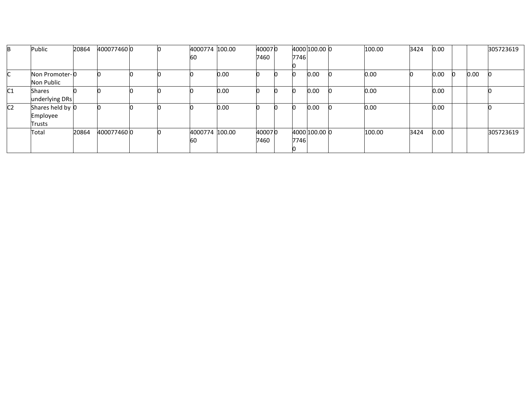| B              | Public           | 20864 | 4000774600 |  | 4000774 100.00 |      | 400070 |      | 4000 100.00 0 | 100.00 | 3424 | 0.00     |   |      | 305723619 |
|----------------|------------------|-------|------------|--|----------------|------|--------|------|---------------|--------|------|----------|---|------|-----------|
|                |                  |       |            |  | 60             |      | 7460   | 7746 |               |        |      |          |   |      |           |
|                |                  |       |            |  |                |      |        |      |               |        |      |          |   |      |           |
|                | Non Promoter-0   |       |            |  |                | 0.00 |        |      | 0.00          | 0.00   |      | 0.00     | Ю | 0.00 |           |
|                | Non Public       |       |            |  |                |      |        |      |               |        |      |          |   |      |           |
| C <sub>1</sub> | <b>Shares</b>    |       |            |  |                | 0.00 |        |      | 0.00          | 0.00   |      | 0.00     |   |      |           |
|                | underlying DRs   |       |            |  |                |      |        |      |               |        |      |          |   |      |           |
| C <sub>2</sub> | Shares held by 0 |       |            |  |                | 0.00 |        |      | 0.00          | 0.00   |      | $0.00\,$ |   |      |           |
|                | Employee         |       |            |  |                |      |        |      |               |        |      |          |   |      |           |
|                | Trusts           |       |            |  |                |      |        |      |               |        |      |          |   |      |           |
|                | Total            | 20864 | 4000774600 |  | 4000774 100.00 |      | 400070 |      | 4000 100.00 0 | 100.00 | 3424 | 0.00     |   |      | 305723619 |
|                |                  |       |            |  | 60             |      | 7460   | 7746 |               |        |      |          |   |      |           |
|                |                  |       |            |  |                |      |        |      |               |        |      |          |   |      |           |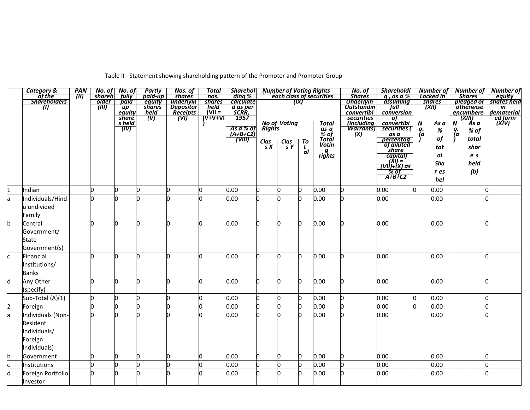| Table II - Statement showing shareholding pattern of the Promoter and Promoter Group |  |
|--------------------------------------------------------------------------------------|--|
|                                                                                      |  |

|                         | Category &             | PAN                           |                | No. of No. of                     | Partly                    | Nos. of                              | Total                 | <b>Shareholl</b>             |             |                        |              | <b>Number of Voting Rights</b> | No. of                                | Shareholdi                                                                                                                                      |         | Number of              |          | Number of                      | Number of                                       |
|-------------------------|------------------------|-------------------------------|----------------|-----------------------------------|---------------------------|--------------------------------------|-----------------------|------------------------------|-------------|------------------------|--------------|--------------------------------|---------------------------------------|-------------------------------------------------------------------------------------------------------------------------------------------------|---------|------------------------|----------|--------------------------------|-------------------------------------------------|
|                         | of the<br>Shareholders | $^{\prime\prime\prime\prime}$ | <b>shareh</b>  | <b>fully</b><br>paid              | paid-up                   | <b>shares</b>                        | nos.                  | ding %<br>calculate          |             |                        | (IX)         | each class of securities       | <b>Shares</b><br><b>Underlyin</b>     | $g$ , as a $%$                                                                                                                                  |         | Locked in              |          | <b>Shares</b>                  | equity<br>$\overline{pledged\ or\}$ shares held |
|                         | W                      |                               | older<br>(III) | $\mathsf{u}\mathsf{p}$            | equity<br><b>shares</b>   | underlyin                            | shares<br>held        |                              |             |                        |              |                                | <b>Outstandin</b>                     | assuming<br>full                                                                                                                                |         | <i>shares</i><br>(XII) |          | <b><i><u>Otherwise</u></i></b> | in                                              |
|                         |                        |                               |                |                                   | held                      |                                      | $\frac{1}{\sqrt{11}}$ | d as per<br>SCRR,            |             |                        |              |                                | convertibl                            | conversion                                                                                                                                      |         |                        |          | encumbere                      | dematerial                                      |
|                         |                        |                               |                |                                   | $\overline{(\mathsf{V})}$ | <i>Depositor</i><br>Receipts<br>(VI) |                       | 1957                         |             |                        |              |                                | securities                            | $\sigma$                                                                                                                                        |         |                        |          | (XIII)                         | ed form                                         |
|                         |                        |                               |                | equity<br>share<br>s held<br>(IV) |                           |                                      |                       |                              |             | No of Voting<br>Rights |              | <b>Total</b>                   | <i>lincluding</i><br><b>Warrants)</b> | convertibl<br>securities (                                                                                                                      | N<br>ο. | As a                   | N        | As a                           | <i><b>TXIV)</b></i>                             |
|                         |                        |                               |                |                                   |                           |                                      |                       | <u>As a % of</u><br>(A+B+C2) |             |                        |              | as a<br>% of                   | (X)                                   | $\overline{as}\overline{a}$                                                                                                                     | (a      | $\%$                   | о.<br>(a | % of                           |                                                 |
|                         |                        |                               |                |                                   |                           |                                      |                       | (VIII)                       |             |                        | To           | Totál                          |                                       | percentag<br>of diluted                                                                                                                         |         | of                     |          | total                          |                                                 |
|                         |                        |                               |                |                                   |                           |                                      |                       |                              | Clas<br>s X | $\frac{Class}{sY}$     | $\mathbf{t}$ | Votin                          |                                       |                                                                                                                                                 |         | tot                    |          | shar                           |                                                 |
|                         |                        |                               |                |                                   |                           |                                      |                       |                              |             |                        | al           | g<br>rights                    |                                       | <b><i><u>Share</u></i></b>                                                                                                                      |         | al                     |          | e <sub>s</sub>                 |                                                 |
|                         |                        |                               |                |                                   |                           |                                      |                       |                              |             |                        |              |                                |                                       |                                                                                                                                                 |         | Sha                    |          | held                           |                                                 |
|                         |                        |                               |                |                                   |                           |                                      |                       |                              |             |                        |              |                                |                                       | $\begin{array}{r}\n\hline\n\text{capital} \\ \hline\n\text{VII} \\ \hline\n\text{VIII} + \text{XI} \\ \hline\n\text{X0} \\ \hline\n\end{array}$ |         |                        |          |                                |                                                 |
|                         |                        |                               |                |                                   |                           |                                      |                       |                              |             |                        |              |                                |                                       | $A+B+C2$                                                                                                                                        |         | r es                   |          | (b)                            |                                                 |
|                         |                        |                               |                |                                   |                           |                                      |                       |                              |             |                        |              |                                |                                       |                                                                                                                                                 |         | hel                    |          |                                |                                                 |
| 1                       | Indian                 |                               | h              | 'n                                | l0                        |                                      | <sup>o</sup>          | 0.00                         |             |                        | n            | 0.00                           |                                       | 0.00                                                                                                                                            | n       | 0.00                   |          |                                |                                                 |
| a                       | Individuals/Hind       |                               | n              |                                   |                           |                                      |                       | 0.00                         |             |                        |              | 0.00                           |                                       | 0.00                                                                                                                                            |         | 0.00                   |          |                                |                                                 |
|                         | u undivided            |                               |                |                                   |                           |                                      |                       |                              |             |                        |              |                                |                                       |                                                                                                                                                 |         |                        |          |                                |                                                 |
|                         | Family                 |                               |                |                                   |                           |                                      |                       |                              |             |                        |              |                                |                                       |                                                                                                                                                 |         |                        |          |                                |                                                 |
| b                       | Central                |                               | h              | 'n                                | $\Omega$                  |                                      | <sup>0</sup>          | 0.00                         |             |                        | O.           | 0.00                           |                                       | 0.00                                                                                                                                            |         | 0.00                   |          |                                |                                                 |
|                         | Government/            |                               |                |                                   |                           |                                      |                       |                              |             |                        |              |                                |                                       |                                                                                                                                                 |         |                        |          |                                |                                                 |
|                         | State                  |                               |                |                                   |                           |                                      |                       |                              |             |                        |              |                                |                                       |                                                                                                                                                 |         |                        |          |                                |                                                 |
|                         | Government(s)          |                               |                |                                   |                           |                                      |                       |                              |             |                        |              |                                |                                       |                                                                                                                                                 |         |                        |          |                                |                                                 |
| IC.                     | Financial              |                               | 'n             |                                   | n                         |                                      |                       | 0.00                         |             |                        | n            | 0.00                           |                                       | 0.00                                                                                                                                            |         | 0.00                   |          |                                |                                                 |
|                         | Institutions/          |                               |                |                                   |                           |                                      |                       |                              |             |                        |              |                                |                                       |                                                                                                                                                 |         |                        |          |                                |                                                 |
|                         | <b>Banks</b>           |                               |                |                                   |                           |                                      |                       |                              |             |                        |              |                                |                                       |                                                                                                                                                 |         |                        |          |                                |                                                 |
| $\overline{d}$          | Any Other              |                               | lo.            | l0                                | O                         | n                                    | 0                     | 0.00                         | n           | n                      | 0            | 0.00                           |                                       | 0.00                                                                                                                                            |         | 0.00                   |          |                                | <sup>0</sup>                                    |
|                         | (specify)              |                               |                |                                   |                           |                                      |                       |                              |             |                        |              |                                |                                       |                                                                                                                                                 |         |                        |          |                                |                                                 |
|                         | Sub-Total (A)(1)       |                               | l0             | 'n                                | l0                        |                                      | Ю                     | 0.00                         |             |                        | n            | 0.00                           |                                       | 0.00                                                                                                                                            | 'n.     | 0.00                   |          |                                |                                                 |
| $\overline{2}$          | Foreign                |                               | 'n             |                                   | n                         |                                      | Ю                     | 0.00                         |             |                        |              | 0.00                           |                                       | 0.00                                                                                                                                            |         | 0.00                   |          |                                |                                                 |
| a                       | Individuals (Non-      |                               |                |                                   |                           |                                      |                       | 0.00                         |             |                        |              | 0.00                           |                                       | 0.00                                                                                                                                            |         | 0.00                   |          |                                |                                                 |
|                         | Resident               |                               |                |                                   |                           |                                      |                       |                              |             |                        |              |                                |                                       |                                                                                                                                                 |         |                        |          |                                |                                                 |
|                         | Individuals/           |                               |                |                                   |                           |                                      |                       |                              |             |                        |              |                                |                                       |                                                                                                                                                 |         |                        |          |                                |                                                 |
|                         | Foreign                |                               |                |                                   |                           |                                      |                       |                              |             |                        |              |                                |                                       |                                                                                                                                                 |         |                        |          |                                |                                                 |
|                         | ndividuals)            |                               |                |                                   |                           |                                      |                       |                              |             |                        |              |                                |                                       |                                                                                                                                                 |         |                        |          |                                |                                                 |
| b                       | Government             |                               | 'n             | l0                                | 0                         | n                                    | Ю                     | 0.00                         | n           |                        | n            | 0.00                           |                                       | 0.00                                                                                                                                            |         | 0.00                   |          |                                |                                                 |
| c                       | Institutions           |                               | b              | o                                 | l0                        | 'n                                   | Ю                     | 0.00                         | IO.         | n                      | n            | 0.00                           |                                       | 0.00                                                                                                                                            |         | 0.00                   |          |                                | O                                               |
| $\overline{\mathsf{d}}$ | Foreign Portfolio      |                               | 'n             |                                   | n                         |                                      |                       | 0.00                         |             |                        | n            | 0.00                           |                                       | 0.00                                                                                                                                            |         | 0.00                   |          |                                |                                                 |
|                         | Investor               |                               |                |                                   |                           |                                      |                       |                              |             |                        |              |                                |                                       |                                                                                                                                                 |         |                        |          |                                |                                                 |
|                         |                        |                               |                |                                   |                           |                                      |                       |                              |             |                        |              |                                |                                       |                                                                                                                                                 |         |                        |          |                                |                                                 |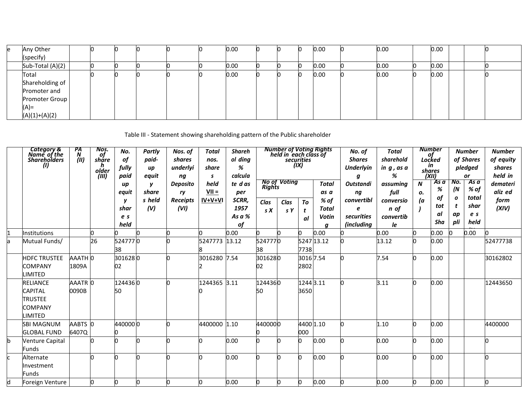| e | Any Other        |  |  |  | 0.00 |  | 0.00 | 0.00 | 0.00 |  |  |
|---|------------------|--|--|--|------|--|------|------|------|--|--|
|   | (specify)        |  |  |  |      |  |      |      |      |  |  |
|   | Sub-Total (A)(2) |  |  |  | 0.00 |  | 0.00 | 0.00 | 0.00 |  |  |
|   | Total            |  |  |  | 0.00 |  | 0.00 | 0.00 | 0.00 |  |  |
|   | Shareholding of  |  |  |  |      |  |      |      |      |  |  |
|   | Promoter and     |  |  |  |      |  |      |      |      |  |  |
|   | Promoter Group   |  |  |  |      |  |      |      |      |  |  |
|   | (A)=             |  |  |  |      |  |      |      |      |  |  |
|   | $(A)(1)+(A)(2)$  |  |  |  |      |  |      |      |      |  |  |

Table III - Statement showing shareholding pattern of the Public shareholder

|    | Category &<br>Name_of_the<br><b>Shareholders</b><br>(1)                                | PA<br>N<br>(III) | Nos.<br>of<br>sháre<br>n<br>older<br>(III) | No.<br>of<br>fully<br>paid<br>up | Partly<br>paid-<br>up<br>equit<br>$\mathbf v$ | Nos. of<br>shares<br>underlyi<br>ng<br><b>Deposito</b> | Total<br>nos.<br>share<br>s<br>held | <b>Shareh</b><br>ol ding<br>%<br>calcula<br>te das | <b>Rights</b> | <b>Number of Voting Rights</b><br>held in each class of<br><b>No of Voting</b> | <b>securities</b><br>(IX) | <b>Total</b>                        | No. of<br><b>Shares</b><br><b>Underlyin</b><br>a<br><b>Outstandi</b> | <b>Total</b><br>sharehold<br>ing, as a<br>%<br>assuming | N        | <b>Number</b><br>of<br>Locked<br>in<br>shares<br>(XII)<br>As a<br>% | No.<br>(N                          | <b>Number</b><br>of Shares<br>pledged<br>or<br>As a<br>% of | <b>Number</b><br>of equity<br>shares<br>held in<br>demateri |
|----|----------------------------------------------------------------------------------------|------------------|--------------------------------------------|----------------------------------|-----------------------------------------------|--------------------------------------------------------|-------------------------------------|----------------------------------------------------|---------------|--------------------------------------------------------------------------------|---------------------------|-------------------------------------|----------------------------------------------------------------------|---------------------------------------------------------|----------|---------------------------------------------------------------------|------------------------------------|-------------------------------------------------------------|-------------------------------------------------------------|
|    |                                                                                        |                  |                                            | equit<br>shar<br>e s<br>held     | share<br>s held<br>(V)                        | ry<br><b>Receipts</b><br>(VI)                          | $VII =$<br>IV+V+VI                  | per<br>SCRR,<br>1957<br>As a %<br>of               | Clas<br>S X   | Clas<br>s Y                                                                    | To<br>t<br>al             | as a<br>% of<br>Total<br>Votin<br>a | ng<br>convertibl<br>e<br>securities<br><i>(including</i>             | full<br>conversio<br>n of<br>convertib<br>le            | ο.<br>(a | of<br>tot<br>al<br>Sha                                              | $\boldsymbol{o}$<br>t<br>ap<br>pli | total<br>shar<br>e s<br>held                                | aliz ed<br>form<br>(XIV)                                    |
|    | nstitutions                                                                            |                  |                                            |                                  |                                               |                                                        |                                     | 0.00                                               |               |                                                                                |                           | 0.00                                |                                                                      | 0.00                                                    |          | 0.00                                                                |                                    | 0.00                                                        |                                                             |
| a  | Mutual Funds/                                                                          |                  | 26                                         | 5247770<br>38                    |                                               |                                                        | 5247773                             | 13.12                                              | 5247770<br>38 |                                                                                | 7738                      | 5247 13.12                          |                                                                      | 13.12                                                   | O.       | 0.00                                                                |                                    |                                                             | 52477738                                                    |
|    | <b>HDFC TRUSTEE</b><br><b>COMPANY</b><br><b>IMITED</b>                                 | AAATH 0<br>1809A |                                            | 3016280<br>02                    |                                               |                                                        | 3016280 7.54                        |                                                    | 3016280<br>02 |                                                                                | 3016 7.54<br>2802         |                                     |                                                                      | 7.54                                                    | n        | 0.00                                                                |                                    |                                                             | 30162802                                                    |
|    | <b>RELIANCE</b><br><b>CAPITAL</b><br><b>TRUSTEE</b><br><b>COMPANY</b><br><b>IMITED</b> | AAATR 0<br>0090B |                                            | 1244360<br>50                    |                                               |                                                        | 1244365                             | 3.11                                               | 1244360<br>50 |                                                                                | 1244 3.11<br>3650         |                                     |                                                                      | 3.11                                                    | n        | 0.00                                                                |                                    |                                                             | 12443650                                                    |
|    | SBI MAGNUM<br><b>GLOBAL FUND</b>                                                       | AABTS 0<br>6407Q |                                            | 4400000                          |                                               |                                                        | 4400000 1.10                        |                                                    | 4400000       |                                                                                | 4400 1.10<br>000          |                                     |                                                                      | 1.10                                                    | 0        | 0.00                                                                |                                    |                                                             | 4400000                                                     |
| b  | <b>Venture Capital</b><br><b>Funds</b>                                                 |                  |                                            |                                  |                                               |                                                        | O.                                  | 0.00                                               |               |                                                                                |                           | 0.00                                |                                                                      | 0.00                                                    | n        | 0.00                                                                |                                    |                                                             | O                                                           |
| r. | Alternate<br>Investment<br><b>Funds</b>                                                |                  |                                            |                                  | n                                             |                                                        | h                                   | 0.00                                               |               |                                                                                |                           | 0.00                                |                                                                      | 0.00                                                    | n        | 0.00                                                                |                                    |                                                             | 0                                                           |
| d  | Foreign Venture                                                                        |                  | <sup>o</sup>                               | n                                | n                                             |                                                        | lo.                                 | 0.00                                               |               |                                                                                |                           | 0.00                                |                                                                      | 0.00                                                    | O        | 0.00                                                                |                                    |                                                             | O.                                                          |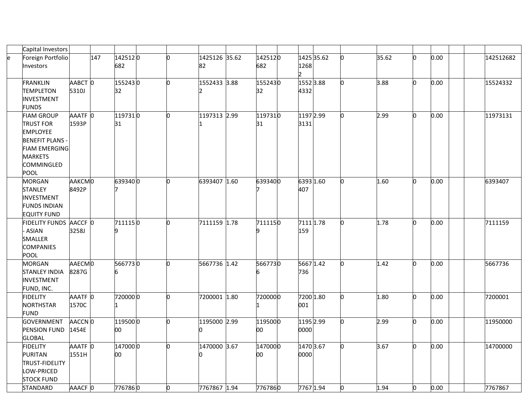|   | Capital Investors      |         |     |         |     |               |         |             |    |       |    |      |           |
|---|------------------------|---------|-----|---------|-----|---------------|---------|-------------|----|-------|----|------|-----------|
| e | Foreign Portfolio      |         | 147 | 1425120 | n   | 1425126 35.62 | 1425120 | 1425 35.62  |    | 35.62 | n  | 0.00 | 142512682 |
|   | Investors              |         |     | 682     |     | 82            | 682     | 1268        |    |       |    |      |           |
|   |                        |         |     |         |     |               |         | Þ.          |    |       |    |      |           |
|   | <b>FRANKLIN</b>        | AABCT 0 |     | 1552430 | lo. | 1552433 3.88  | 1552430 | $1552$ 3.88 |    | 3.88  |    | 0.00 | 15524332  |
|   | <b>TEMPLETON</b>       | 5310J   |     | 32      |     |               | 32      | 4332        |    |       |    |      |           |
|   | <b>INVESTMENT</b>      |         |     |         |     |               |         |             |    |       |    |      |           |
|   | <b>FUNDS</b>           |         |     |         |     |               |         |             |    |       |    |      |           |
|   | <b>FIAM GROUP</b>      | AAATF 0 |     | 1197310 | 0   | 1197313 2.99  | 1197310 | 1197 2.99   | 'n | 2.99  | n  | 0.00 | 11973131  |
|   | <b>TRUST FOR</b>       | 1593P   |     | 31      |     |               | 31      | 3131        |    |       |    |      |           |
|   | <b>EMPLOYEE</b>        |         |     |         |     |               |         |             |    |       |    |      |           |
|   | <b>BENEFIT PLANS -</b> |         |     |         |     |               |         |             |    |       |    |      |           |
|   | <b>FIAM EMERGING</b>   |         |     |         |     |               |         |             |    |       |    |      |           |
|   | <b>MARKETS</b>         |         |     |         |     |               |         |             |    |       |    |      |           |
|   | <b>COMMINGLED</b>      |         |     |         |     |               |         |             |    |       |    |      |           |
|   | POOL                   |         |     |         |     |               |         |             |    |       |    |      |           |
|   | <b>MORGAN</b>          | AAKCMO  |     | 6393400 | lo. | 6393407 1.60  | 6393400 | 6393 1.60   | n  | 1.60  | n  | 0.00 | 6393407   |
|   | <b>STANLEY</b>         | 8492P   |     |         |     |               |         | 407         |    |       |    |      |           |
|   | <b>INVESTMENT</b>      |         |     |         |     |               |         |             |    |       |    |      |           |
|   | <b>FUNDS INDIAN</b>    |         |     |         |     |               |         |             |    |       |    |      |           |
|   | <b>EQUITY FUND</b>     |         |     |         |     |               |         |             |    |       |    |      |           |
|   | FIDELITY FUNDS AACCF 0 |         |     | 7111150 | lo. | 7111159 1.78  | 7111150 | 7111 1.78   | n  | 1.78  | n  | 0.00 | 7111159   |
|   | <b>ASIAN</b>           | 3258J   |     | 9       |     |               |         | 159         |    |       |    |      |           |
|   | SMALLER                |         |     |         |     |               |         |             |    |       |    |      |           |
|   | <b>COMPANIES</b>       |         |     |         |     |               |         |             |    |       |    |      |           |
|   | <b>POOL</b>            |         |     |         |     |               |         |             |    |       |    |      |           |
|   | <b>MORGAN</b>          | AAECMO  |     | 5667730 | lo. | 5667736 1.42  | 5667730 | 5667 1.42   | n  | 1.42  |    | 0.00 | 5667736   |
|   | <b>STANLEY INDIA</b>   | 8287G   |     | 6       |     |               |         | 736         |    |       |    |      |           |
|   | <b>INVESTMENT</b>      |         |     |         |     |               |         |             |    |       |    |      |           |
|   | FUND, INC.             |         |     |         |     |               |         |             |    |       |    |      |           |
|   | <b>FIDELITY</b>        | AAATF 0 |     | 7200000 | lo. | 7200001 1.80  | 7200000 | 7200 1.80   | n. | 1.80  | 'n | 0.00 | 7200001   |
|   | <b>NORTHSTAR</b>       | 1570C   |     |         |     |               |         | 001         |    |       |    |      |           |
|   | <b>FUND</b>            |         |     |         |     |               |         |             |    |       |    |      |           |
|   | <b>GOVERNMENT</b>      | AACCN 0 |     | 1195000 | n   | 1195000 2.99  | 1195000 | 1195 2.99   | n. | 2.99  | O  | 0.00 | 11950000  |
|   | PENSION FUND           | 1454E   |     | 00      |     |               | 00      | 0000        |    |       |    |      |           |
|   | <b>GLOBAL</b>          |         |     |         |     |               |         |             |    |       |    |      |           |
|   | <b>FIDELITY</b>        | AAATF O |     | 1470000 | lo. | 1470000 3.67  | 1470000 | 1470 3.67   |    | 3.67  |    | 0.00 | 14700000  |
|   | <b>PURITAN</b>         | 1551H   |     | 00      |     |               | 00      | 0000        |    |       |    |      |           |
|   | <b>TRUST-FIDELITY</b>  |         |     |         |     |               |         |             |    |       |    |      |           |
|   | LOW-PRICED             |         |     |         |     |               |         |             |    |       |    |      |           |
|   | <b>STOCK FUND</b>      |         |     |         |     |               |         |             |    |       |    |      |           |
|   | STANDARD               | AAACF 0 |     | 7767860 | 0   | 7767867 1.94  | 7767860 | 7767 1.94   | n  | 1.94  | Ю  | 0.00 | 7767867   |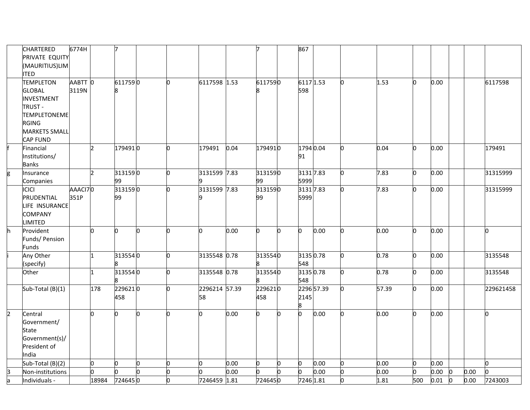|                | <b>CHARTERED</b>     | 6774H   |               |         |    |     |               |      |         |     | 867       |            |       |              |      |              |      |           |
|----------------|----------------------|---------|---------------|---------|----|-----|---------------|------|---------|-----|-----------|------------|-------|--------------|------|--------------|------|-----------|
|                | PRIVATE EQUITY       |         |               |         |    |     |               |      |         |     |           |            |       |              |      |              |      |           |
|                | (MAURITIUS)LIM       |         |               |         |    |     |               |      |         |     |           |            |       |              |      |              |      |           |
|                | <b>ITED</b>          |         |               |         |    |     |               |      |         |     |           |            |       |              |      |              |      |           |
|                | <b>TEMPLETON</b>     | AABTT 0 |               | 6117590 |    | l0. | 6117598 1.53  |      | 6117590 |     | 6117 1.53 |            | 1.53  | <sup>0</sup> | 0.00 |              |      | 6117598   |
|                | <b>GLOBAL</b>        | 3119N   |               |         |    |     |               |      |         |     | 598       |            |       |              |      |              |      |           |
|                | <b>INVESTMENT</b>    |         |               |         |    |     |               |      |         |     |           |            |       |              |      |              |      |           |
|                | TRUST -              |         |               |         |    |     |               |      |         |     |           |            |       |              |      |              |      |           |
|                | TEMPLETONEME         |         |               |         |    |     |               |      |         |     |           |            |       |              |      |              |      |           |
|                | <b>RGING</b>         |         |               |         |    |     |               |      |         |     |           |            |       |              |      |              |      |           |
|                | <b>MARKETS SMALL</b> |         |               |         |    |     |               |      |         |     |           |            |       |              |      |              |      |           |
|                | <b>CAP FUND</b>      |         |               |         |    |     |               |      |         |     |           |            |       |              |      |              |      |           |
|                | Financial            |         | $\mathcal{D}$ | 1794910 |    | n   | 179491        | 0.04 | 1794910 |     | 1794 0.04 |            | 0.04  | <sub>0</sub> | 0.00 |              |      | 179491    |
|                | Institutions/        |         |               |         |    |     |               |      |         |     | 91        |            |       |              |      |              |      |           |
|                | <b>Banks</b>         |         |               |         |    |     |               |      |         |     |           |            |       |              |      |              |      |           |
| g              | Insurance            |         |               | 3131590 |    | n   | 3131599 7.83  |      | 3131590 |     | 3131 7.83 |            | 7.83  | <sup>0</sup> | 0.00 |              |      | 31315999  |
|                | Companies            |         |               | 99      |    |     |               |      | 99      |     | 5999      |            |       |              |      |              |      |           |
|                | ICICI                | AAACI70 |               | 3131590 |    | n   | 3131599 7.83  |      | 3131590 |     | 3131 7.83 |            | 7.83  | l0           | 0.00 |              |      | 31315999  |
|                | PRUDENTIAL           | 351P    |               | 99      |    |     |               |      | 99      |     | 5999      |            |       |              |      |              |      |           |
|                | <b>IFE INSURANCE</b> |         |               |         |    |     |               |      |         |     |           |            |       |              |      |              |      |           |
|                | <b>COMPANY</b>       |         |               |         |    |     |               |      |         |     |           |            |       |              |      |              |      |           |
|                | <b>IMITED</b>        |         |               |         |    |     |               |      |         |     |           |            |       |              |      |              |      |           |
| h.             | Provident            |         | <sub>0</sub>  | l0      | O  | n   | lo.           | 0.00 | O.      | 'n. | b         | 0.00       | 0.00  | lo.          | 0.00 |              |      | 0         |
|                | Funds/ Pension       |         |               |         |    |     |               |      |         |     |           |            |       |              |      |              |      |           |
|                | <b>Funds</b>         |         |               |         |    |     |               |      |         |     |           |            |       |              |      |              |      |           |
|                | Any Other            |         | 1             | 3135540 |    | n.  | 3135548 0.78  |      | 3135540 |     | 3135 0.78 |            | 0.78  | l0.          | 0.00 |              |      | 3135548   |
|                | (specify)            |         |               |         |    |     |               |      |         |     | 548       |            |       |              |      |              |      |           |
|                | Other                |         |               | 3135540 |    | n   | 3135548 0.78  |      | 3135540 |     | 3135 0.78 |            | 0.78  | <sup>0</sup> | 0.00 |              |      | 3135548   |
|                |                      |         |               |         |    |     |               |      |         |     | 548       |            |       |              |      |              |      |           |
|                | Sub-Total (B)(1)     |         | 178           | 2296210 |    |     | 2296214 57.39 |      | 2296210 |     |           | 2296 57.39 | 57.39 | lo.          | 0.00 |              |      | 229621458 |
|                |                      |         |               | 458     |    |     | 58            |      | 458     |     | 2145      |            |       |              |      |              |      |           |
|                |                      |         |               |         |    |     |               |      |         |     | 8         |            |       |              |      |              |      |           |
| $\overline{2}$ | Central              |         | <sub>0</sub>  | O.      | n. | n.  | n.            | 0.00 | O.      | n   | o         | 0.00       | 0.00  | n            | 0.00 |              |      | n         |
|                | Government/          |         |               |         |    |     |               |      |         |     |           |            |       |              |      |              |      |           |
|                | State                |         |               |         |    |     |               |      |         |     |           |            |       |              |      |              |      |           |
|                | Government(s)/       |         |               |         |    |     |               |      |         |     |           |            |       |              |      |              |      |           |
|                | President of         |         |               |         |    |     |               |      |         |     |           |            |       |              |      |              |      |           |
|                | India                |         | Ю             | O       | 0  | n   | n.            | 0.00 | n       | n   | o         | 0.00       | 0.00  | l0           | 0.00 |              |      | h.        |
|                | Sub-Total (B)(2)     |         |               |         | n. | U   |               | 0.00 |         |     | b         | 0.00       | 0.00  |              |      |              |      | n         |
| β              | Non-institutions     |         |               |         |    | O   |               |      |         |     |           |            |       | O.           | 0.00 | $\mathbf{0}$ | 0.00 |           |
| a              | Individuals -        |         | 18984         | 7246450 |    |     | 7246459 1.81  |      | 7246450 |     | 7246 1.81 |            | 1.81  | 500          | 0.01 | $\mathbf{0}$ | 0.00 | 7243003   |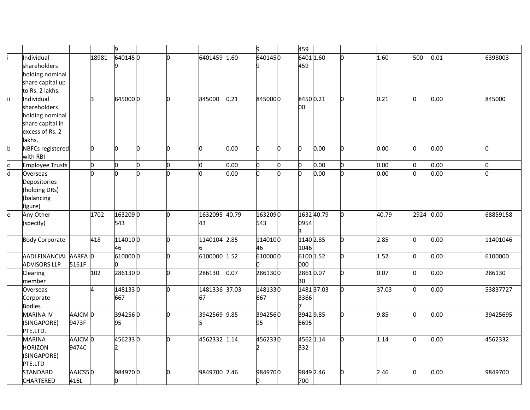|   |                         |         |                         | 9             |    |     |               |      | g            |   | 459       |            |   |       |              |      |          |
|---|-------------------------|---------|-------------------------|---------------|----|-----|---------------|------|--------------|---|-----------|------------|---|-------|--------------|------|----------|
|   | Individual              |         | 18981                   | 6401450       |    | n.  | 6401459 1.60  |      | 6401450      |   | 6401 1.60 |            |   | 1.60  | 500          | 0.01 | 6398003  |
|   | shareholders            |         |                         |               |    |     |               |      |              |   | 459       |            |   |       |              |      |          |
|   | holding nominal         |         |                         |               |    |     |               |      |              |   |           |            |   |       |              |      |          |
|   | share capital up        |         |                         |               |    |     |               |      |              |   |           |            |   |       |              |      |          |
|   | to Rs. 2 lakhs.         |         |                         |               |    |     |               |      |              |   |           |            |   |       |              |      |          |
|   | Individual              |         | lз                      | 8450000       |    | n.  | 845000        | 0.21 | 8450000      |   | 84500.21  |            | n | 0.21  | o            | 0.00 | 845000   |
|   | shareholders            |         |                         |               |    |     |               |      |              |   | 00        |            |   |       |              |      |          |
|   | holding nominal         |         |                         |               |    |     |               |      |              |   |           |            |   |       |              |      |          |
|   | share capital in        |         |                         |               |    |     |               |      |              |   |           |            |   |       |              |      |          |
|   | excess of Rs. 2         |         |                         |               |    |     |               |      |              |   |           |            |   |       |              |      |          |
|   | lakhs.                  |         |                         |               |    |     |               |      |              |   |           |            |   |       |              |      |          |
| b | <b>NBFCs registered</b> |         | lo.                     | n.            | l0 | n.  | b             | 0.00 | n.           | n | 0         | 0.00       | n | 0.00  | b            | 0.00 | 0        |
|   | with RBI                |         |                         |               |    |     |               |      |              |   |           |            |   |       |              |      |          |
|   | <b>Employee Trusts</b>  |         | 0                       | 0             | 0  | O   | o             | 0.00 | O.           |   | o         | 0.00       |   | 0.00  | o            | 0.00 | o        |
| d | Overseas                |         | n.                      | n             | h  |     | 'n            | 0.00 | <sub>0</sub> |   | b         | 0.00       |   | 0.00  | n            | 0.00 | n        |
|   | Depositories            |         |                         |               |    |     |               |      |              |   |           |            |   |       |              |      |          |
|   | (holding DRs)           |         |                         |               |    |     |               |      |              |   |           |            |   |       |              |      |          |
|   | (balancing              |         |                         |               |    |     |               |      |              |   |           |            |   |       |              |      |          |
|   | figure)                 |         |                         |               |    |     |               |      |              |   |           |            |   |       |              |      |          |
| e | Any Other               |         | 1702                    | 1632090       |    | l0. | 1632095 40.79 |      | 1632090      |   |           | 1632 40.79 |   | 40.79 | 2924         | 0.00 | 68859158 |
|   | (specify)               |         |                         | 543           |    |     | 43            |      | 543          |   | 0954      |            |   |       |              |      |          |
|   |                         |         |                         |               |    |     |               |      |              |   | З         |            |   |       |              |      |          |
|   | <b>Body Corporate</b>   |         | 418                     | 1140100       |    | b.  | 1140104 2.85  |      | 1140100      |   | 1140 2.85 |            |   | 2.85  | b            | 0.00 | 11401046 |
|   |                         |         |                         | 46            |    |     |               |      | 46           |   | 1046      |            |   |       |              |      |          |
|   | AADI FINANCIAL AARFA 0  |         |                         | 6100000       |    | l0. | 6100000 1.52  |      | 6100000      |   | 6100 1.52 |            |   | 1.52  | O            | 0.00 | 6100000  |
|   | <b>ADVISORS LLP</b>     | 5161F   |                         | n.            |    |     |               |      |              |   | 000       |            |   |       |              |      |          |
|   | Clearing                |         | 102                     | 2861300       |    | l0. | 286130        | 0.07 | 2861300      |   | 28610.07  |            |   | 0.07  | b            | 0.00 | 286130   |
|   | member                  |         |                         |               |    |     |               |      |              |   | 30        |            |   |       |              |      |          |
|   | Overseas                |         | $\overline{\mathbf{A}}$ | 1481330       |    | l0. | 1481336 37.03 |      | 1481330      |   |           | 1481 37.03 |   | 37.03 | o            | 0.00 | 53837727 |
|   | Corporate               |         |                         | 667           |    |     | 67            |      | 667          |   | 3366      |            |   |       |              |      |          |
|   | <b>Bodies</b>           |         |                         |               |    |     |               |      |              |   |           |            |   |       |              |      |          |
|   | <b>MARINA IV</b>        | AAJCM 0 |                         | 3942560       |    | lo. | 3942569 9.85  |      | 3942560      |   | 3942 9.85 |            | n | 9.85  | b            | 0.00 | 39425695 |
|   | (SINGAPORE)             | 9473F   |                         | 95            |    |     |               |      | 95           |   | 5695      |            |   |       |              |      |          |
|   | PTE.LTD.                |         |                         |               |    |     |               |      |              |   |           |            |   |       |              |      |          |
|   | <b>MARINA</b>           | AAJCM 0 |                         | 4562330       |    | lo. | 4562332 1.14  |      | 4562330      |   | 4562 1.14 |            |   | 1.14  | <sub>0</sub> | 0.00 | 4562332  |
|   | <b>HORIZON</b>          | 9474C   |                         | $\mathcal{P}$ |    |     |               |      |              |   | 332       |            |   |       |              |      |          |
|   | (SINGAPORE)             |         |                         |               |    |     |               |      |              |   |           |            |   |       |              |      |          |
|   | PTE.LTD                 |         |                         |               |    |     |               |      |              |   |           |            |   |       |              |      |          |
|   | <b>STANDARD</b>         | AAJCS50 |                         | 9849700       |    | l0. | 9849700 2.46  |      | 9849700      |   | 9849 2.46 |            |   | 2.46  | 0            | 0.00 | 9849700  |
|   | <b>CHARTERED</b>        | 416L    |                         | Ю             |    |     |               |      |              |   | 700       |            |   |       |              |      |          |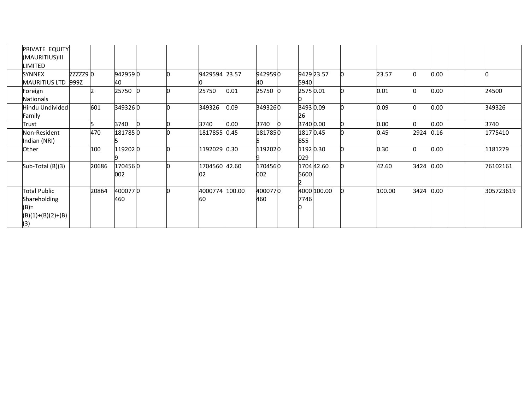| PRIVATE EQUITY                                                               |                               |       |                |  |                      |          |                |                     |  |          |      |      |  |           |
|------------------------------------------------------------------------------|-------------------------------|-------|----------------|--|----------------------|----------|----------------|---------------------|--|----------|------|------|--|-----------|
| (MAURITIUS)III<br>IMITED.                                                    |                               |       |                |  |                      |          |                |                     |  |          |      |      |  |           |
| <b>SYNNEX</b><br><b>MAURITIUS LTD</b>                                        | $zzzzz9$ <sub>0</sub><br>999Z |       | 9429590<br>40  |  | 9429594 23.57        |          | 9429590<br>40  | 9429 23.57<br>5940  |  | 23.57    |      | 0.00 |  |           |
| Foreign<br><b>Nationals</b>                                                  |                               |       | 25750          |  | 25750                | 0.01     | 25750          | 2575 0.01           |  | 0.01     |      | 0.00 |  | 24500     |
| Hindu Undivided<br>Family                                                    |                               | 601   | 3493260        |  | 349326               | 0.09     | 3493260        | 3493 0.09<br>26     |  | 0.09     |      | 0.00 |  | 349326    |
| Trust                                                                        |                               |       | 3740           |  | 3740                 | $0.00\,$ | 3740           | 3740 0.00           |  | $0.00\,$ |      | 0.00 |  | 3740      |
| Non-Resident<br>Indian (NRI)                                                 |                               | 470   | 1817850        |  | 1817855 0.45         |          | 1817850        | 1817 0.45<br>855    |  | 0.45     | 2924 | 0.16 |  | 1775410   |
| Other                                                                        |                               | 100   | 1192020        |  | 1192029 0.30         |          | 1192020        | 1192 0.30<br>029    |  | 0.30     |      | 0.00 |  | 1181279   |
| Sub-Total (B)(3)                                                             |                               | 20686 | 1704560<br>002 |  | 1704560 42.60<br>02  |          | 1704560<br>002 | 1704 42.60<br>5600  |  | 42.60    | 3424 | 0.00 |  | 76102161  |
| <b>Total Public</b><br>Shareholding<br>$(B)$ =<br>$(B)(1)+(B)(2)+(B)$<br>(3) |                               | 20864 | 4000770<br>460 |  | 4000774 100.00<br>60 |          | 4000770<br>460 | 4000 100.00<br>7746 |  | 100.00   | 3424 | 0.00 |  | 305723619 |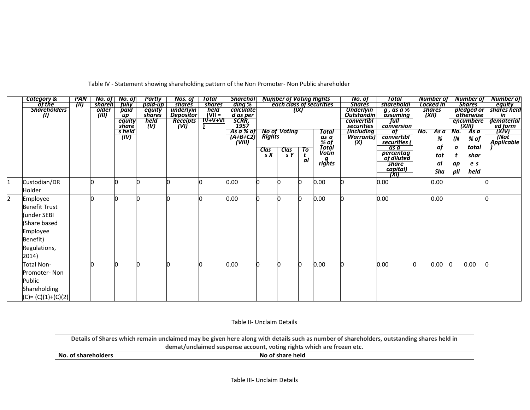|    | <b>Category &amp;</b> | Partly<br><b>Sharehol</b> Number of Voting Rights<br><b>PAN</b><br>No. of   No. of<br><b>Total</b><br>Nos. of |  |                        | No. of           | Total           |                          | Number of                       |                   | Number of              | <b>Number of</b> |               |                                 |                             |                     |        |                  |       |                          |
|----|-----------------------|---------------------------------------------------------------------------------------------------------------|--|------------------------|------------------|-----------------|--------------------------|---------------------------------|-------------------|------------------------|------------------|---------------|---------------------------------|-----------------------------|---------------------|--------|------------------|-------|--------------------------|
|    |                       | of the<br>7M)<br><b>Jully</b><br>paid-up<br><b>shares</b><br>shareh                                           |  | <b>shares</b>          | ding %           |                 | each class of securities |                                 |                   | <b>Shares</b>          | shareholdi       | Locked in     |                                 |                             | <b>Shares</b>       | equity |                  |       |                          |
|    | <b>Shareholders</b>   | paid<br>underlyin<br>held<br>older<br>equity                                                                  |  | <i>calculate</i>       |                  | (IX)            |                          |                                 | <b>Underlyin</b>  | q, as a %              |                  | <b>shares</b> |                                 | pledged or                  | shares held         |        |                  |       |                          |
|    |                       | $ V   =$<br><b>shares</b><br><b>Depositor</b><br>(III)<br>$\overline{up}$<br>(II)                             |  |                        |                  |                 |                          |                                 |                   | <b>Outstandin</b>      | assuming         |               | (XII)                           |                             | <b>otherwise</b>    | in     |                  |       |                          |
|    |                       |                                                                                                               |  | equity                 | held <b>held</b> | <b>Receipts</b> | <u> IV+V+VI</u>          | d as per<br>SCRR,<br>1957       |                   |                        | convertibl       | full          |                                 |                             | encumbere<br>(XIII) |        | dematerial       |       |                          |
|    |                       |                                                                                                               |  | <b>share</b><br>s held | (V)              | (VI)            |                          |                                 |                   |                        |                  | Total         | securities<br><i>(including</i> | conversion<br>of            | No.                 |        | No.              | As a  |                          |
|    |                       |                                                                                                               |  | (IV)                   |                  |                 |                          | As a % of<br>(A+B+C2)<br>(VIII) |                   | No of Voting<br>Rights |                  |               | <b>Warrants)</b>                | convertibl                  |                     | As a   |                  |       | ed form<br>(XIV)<br>(Not |
|    |                       |                                                                                                               |  |                        |                  |                 |                          |                                 |                   |                        |                  | as a<br>% of  | (X)                             | securities (                |                     | %      | (N               | % of  | Applicable               |
|    |                       |                                                                                                               |  |                        |                  |                 |                          |                                 |                   |                        | To               | Totál         |                                 | $\overline{as}\overline{a}$ |                     | of     | $\boldsymbol{o}$ | total |                          |
|    |                       |                                                                                                               |  |                        |                  |                 |                          |                                 | $\frac{Class}{S}$ | <b>Clas</b><br>s Y     | t                | Votin         |                                 | percentag<br>of diluted     |                     | tot    |                  | shar  |                          |
|    |                       |                                                                                                               |  |                        |                  |                 |                          |                                 |                   |                        | al               |               |                                 |                             |                     |        |                  |       |                          |
|    |                       |                                                                                                               |  |                        |                  |                 |                          |                                 |                   |                        |                  | rights        |                                 | share                       |                     | al     | ap               | e s   |                          |
|    |                       |                                                                                                               |  |                        |                  |                 |                          |                                 |                   |                        |                  |               |                                 | capital)<br>(XI)            |                     | Sha    | pli              | held  |                          |
|    |                       |                                                                                                               |  |                        |                  |                 |                          |                                 |                   |                        |                  |               |                                 |                             |                     |        |                  |       |                          |
| 11 | Custodian/DR          |                                                                                                               |  |                        |                  |                 |                          | 0.00                            |                   |                        |                  | 0.00          |                                 | 0.00                        |                     | 0.00   |                  |       |                          |
|    | Holder                |                                                                                                               |  |                        |                  |                 |                          |                                 |                   |                        |                  |               |                                 |                             |                     |        |                  |       |                          |
| 2  | Employee              |                                                                                                               |  |                        |                  |                 |                          | 0.00                            |                   |                        |                  | 0.00          |                                 | 0.00                        |                     | 0.00   |                  |       |                          |
|    | <b>Benefit Trust</b>  |                                                                                                               |  |                        |                  |                 |                          |                                 |                   |                        |                  |               |                                 |                             |                     |        |                  |       |                          |
|    |                       |                                                                                                               |  |                        |                  |                 |                          |                                 |                   |                        |                  |               |                                 |                             |                     |        |                  |       |                          |
|    | under SEBI)           |                                                                                                               |  |                        |                  |                 |                          |                                 |                   |                        |                  |               |                                 |                             |                     |        |                  |       |                          |
|    | (Share based          |                                                                                                               |  |                        |                  |                 |                          |                                 |                   |                        |                  |               |                                 |                             |                     |        |                  |       |                          |
|    | Employee              |                                                                                                               |  |                        |                  |                 |                          |                                 |                   |                        |                  |               |                                 |                             |                     |        |                  |       |                          |
|    |                       |                                                                                                               |  |                        |                  |                 |                          |                                 |                   |                        |                  |               |                                 |                             |                     |        |                  |       |                          |
|    | Benefit)              |                                                                                                               |  |                        |                  |                 |                          |                                 |                   |                        |                  |               |                                 |                             |                     |        |                  |       |                          |
|    | Regulations,          |                                                                                                               |  |                        |                  |                 |                          |                                 |                   |                        |                  |               |                                 |                             |                     |        |                  |       |                          |
|    | 2014)                 |                                                                                                               |  |                        |                  |                 |                          |                                 |                   |                        |                  |               |                                 |                             |                     |        |                  |       |                          |
|    | Total Non-            |                                                                                                               |  |                        |                  |                 | n                        | 0.00                            |                   |                        |                  | 0.00          |                                 | 0.00                        |                     | 0.00   | 0                | 0.00  |                          |
|    |                       |                                                                                                               |  |                        |                  |                 |                          |                                 |                   |                        |                  |               |                                 |                             |                     |        |                  |       |                          |
|    | Promoter-Non          |                                                                                                               |  |                        |                  |                 |                          |                                 |                   |                        |                  |               |                                 |                             |                     |        |                  |       |                          |
|    | Public                |                                                                                                               |  |                        |                  |                 |                          |                                 |                   |                        |                  |               |                                 |                             |                     |        |                  |       |                          |
|    | Shareholding          |                                                                                                               |  |                        |                  |                 |                          |                                 |                   |                        |                  |               |                                 |                             |                     |        |                  |       |                          |
|    |                       |                                                                                                               |  |                        |                  |                 |                          |                                 |                   |                        |                  |               |                                 |                             |                     |        |                  |       |                          |
|    | $(C) = (C)(1)+(C)(2)$ |                                                                                                               |  |                        |                  |                 |                          |                                 |                   |                        |                  |               |                                 |                             |                     |        |                  |       |                          |

Table IV - Statement showing shareholding pattern of the Non Promoter- Non Public shareholder

Table II- Unclaim Details

| Details of Shares which remain unclaimed may be given here along with details such as number of shareholders, outstanding shares held in |                  |  |  |  |  |  |  |
|------------------------------------------------------------------------------------------------------------------------------------------|------------------|--|--|--|--|--|--|
| demat/unclaimed suspense account, voting rights which are frozen etc.                                                                    |                  |  |  |  |  |  |  |
| No. of shareholders                                                                                                                      | No of share held |  |  |  |  |  |  |